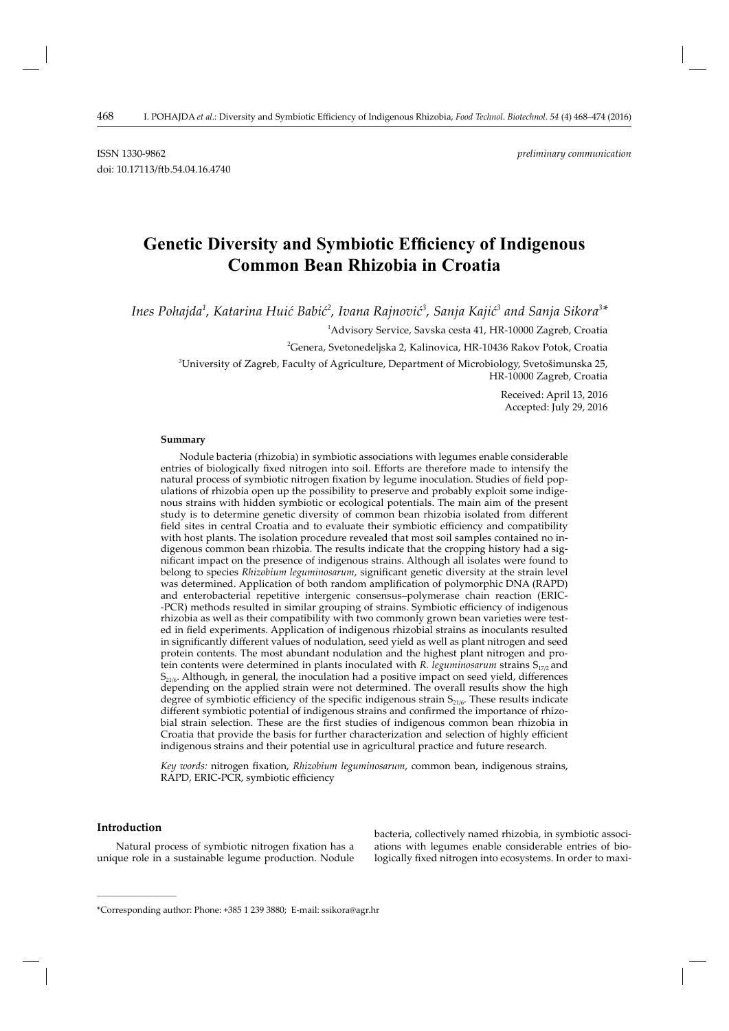# **Genetic Diversity and Symbiotic Efficiency of Indigenous Common Bean Rhizobia in Croatia**

Ines Pohajda<sup>1</sup>, Katarina Huić Babić<sup>2</sup>, Ivana Rajnović<sup>3</sup>, Sanja Kajić<sup>3</sup> and Sanja Sikora<sup>3</sup>\*

 $^{\rm 1}$ Advisory Service, Savska cesta 41, HR-10000 Zagreb, Croatia

<sup>2</sup>Genera, Svetonedeljska 2, Kalinovica, HR-10436 Rakov Potok, Croatia

3 University of Zagreb, Faculty of Agriculture, Department of Microbiology, Svetošimunska 25, HR-10000 Zagreb, Croatia

> Received: April 13, 2016 Accepted: July 29, 2016

#### **Summary**

Nodule bacteria (rhizobia) in symbiotic associations with legumes enable considerable entries of biologically fixed nitrogen into soil. Efforts are therefore made to intensify the natural process of symbiotic nitrogen fixation by legume inoculation. Studies of field populations of rhizobia open up the possibility to preserve and probably exploit some indigenous strains with hidden symbiotic or ecological potentials. The main aim of the present study is to determine genetic diversity of common bean rhizobia isolated from different field sites in central Croatia and to evaluate their symbiotic efficiency and compatibility with host plants. The isolation procedure revealed that most soil samples contained no indigenous common bean rhizobia. The results indicate that the cropping history had a significant impact on the presence of indigenous strains. Although all isolates were found to belong to species *Rhizobium leguminosarum*, significant genetic diversity at the strain level was determined. Application of both random amplification of polymorphic DNA (RAPD) and enterobacterial repetitive intergenic consensus–polymerase chain reaction (ERIC- -PCR) methods resulted in similar grouping of strains. Symbiotic efficiency of indigenous rhizobia as well as their compatibility with two commonly grown bean varieties were tested in field experiments. Application of indigenous rhizobial strains as inoculants resulted in significantly different values of nodulation, seed yield as well as plant nitrogen and seed protein contents. The most abundant nodulation and the highest plant nitrogen and protein contents were determined in plants inoculated with *R. leguminosarum* strains S<sub>17/2</sub> and  $S<sub>21/6</sub>$ . Although, in general, the inoculation had a positive impact on seed yield, differences depending on the applied strain were not determined. The overall results show the high degree of symbiotic efficiency of the specific indigenous strain  $S_{21/6}$ . These results indicate different symbiotic potential of indigenous strains and confirmed the importance of rhizobial strain selection. These are the first studies of indigenous common bean rhizobia in Croatia that provide the basis for further characterization and selection of highly efficient indigenous strains and their potential use in agricultural practice and future research.

Key words: nitrogen fixation, *Rhizobium leguminosarum*, common bean, indigenous strains, RAPD, ERIC-PCR, symbiotic efficiency

## **Introduction**

**\_\_\_\_\_\_\_\_\_\_\_\_\_\_\_\_\_\_\_\_\_\_\_\_\_\_\_\_\_\_**

Natural process of symbiotic nitrogen fixation has a unique role in a sustainable legume production. Nodule bacteria, collectively named rhizobia, in symbiotic associations with legumes enable considerable entries of biologically fixed nitrogen into ecosystems. In order to maxi-

<sup>\*</sup>Corresponding author: Phone: +385 1 239 3880; E-mail: ssikora@agr.hr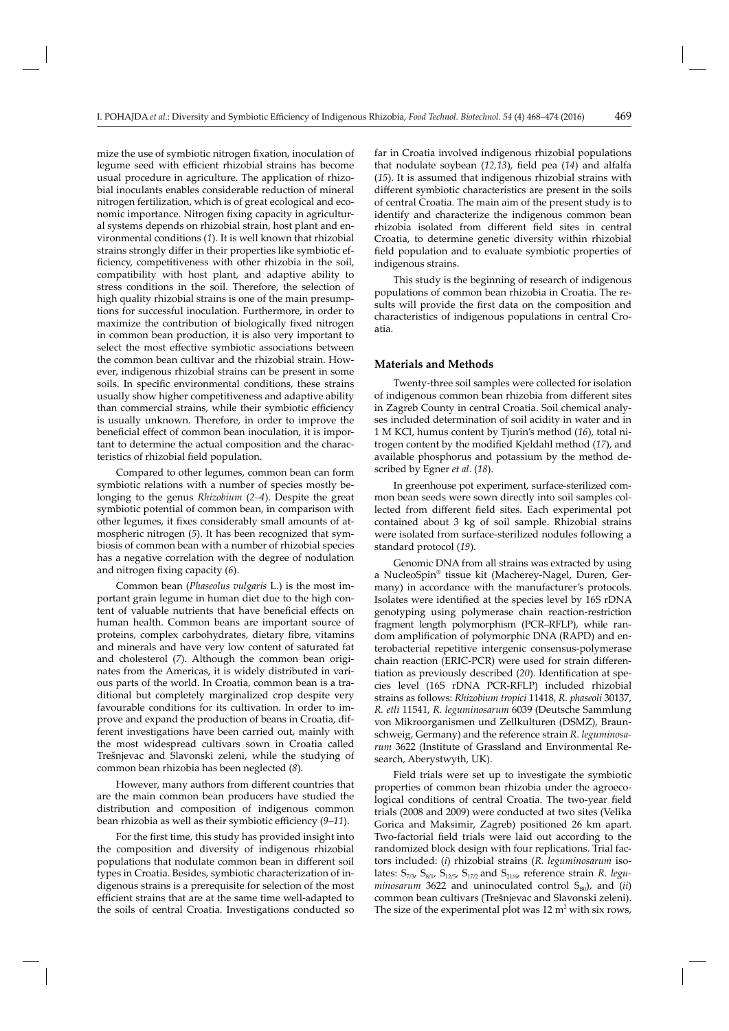mize the use of symbiotic nitrogen fixation, inoculation of legume seed with efficient rhizobial strains has become usual procedure in agriculture. The application of rhizobial inoculants enables considerable reduction of mineral nitrogen fertilization, which is of great ecological and economic importance. Nitrogen fixing capacity in agricultural systems depends on rhizobial strain, host plant and environmental conditions (*1*). It is well known that rhizobial strains strongly differ in their properties like symbiotic efficiency, competitiveness with other rhizobia in the soil, compatibility with host plant, and adaptive ability to stress conditions in the soil. Therefore, the selection of high quality rhizobial strains is one of the main presumptions for successful inoculation. Furthermore, in order to maximize the contribution of biologically fixed nitrogen in common bean production, it is also very important to select the most effective symbiotic associations between the common bean cultivar and the rhizobial strain. However, indigenous rhizobial strains can be present in some soils. In specific environmental conditions, these strains usually show higher competitiveness and adaptive ability than commercial strains, while their symbiotic efficiency is usually unknown. Therefore, in order to improve the beneficial effect of common bean inoculation, it is important to determine the actual composition and the characteristics of rhizobial field population.

Compared to other legumes, common bean can form symbiotic relations with a number of species mostly belonging to the genus *Rhizobium* (*2–4*). Despite the great symbiotic potential of common bean, in comparison with other legumes, it fixes considerably small amounts of atmospheric nitrogen (*5*). It has been recognized that symbiosis of common bean with a number of rhizobial species has a negative correlation with the degree of nodulation and nitrogen fixing capacity (6).

Common bean (*Phaseolus vulgaris* L*.*) is the most important grain legume in human diet due to the high content of valuable nutrients that have beneficial effects on human health. Common beans are important source of proteins, complex carbohydrates, dietary fibre, vitamins and minerals and have very low content of saturated fat and cholesterol (*7*). Although the common bean originates from the Americas, it is widely distributed in various parts of the world. In Croatia, common bean is a traditional but completely marginalized crop despite very favourable conditions for its cultivation. In order to improve and expand the production of beans in Croatia, different investigations have been carried out, mainly with the most widespread cultivars sown in Croatia called Trešnjevac and Slavonski zeleni, while the studying of common bean rhizobia has been neglected (*8*).

However, many authors from different countries that are the main common bean producers have studied the distribution and composition of indigenous common bean rhizobia as well as their symbiotic efficiency (9–11).

For the first time, this study has provided insight into the composition and diversity of indigenous rhizobial populations that nodulate common bean in different soil types in Croatia. Besides, symbiotic characterization of indigenous strains is a prerequisite for selection of the most efficient strains that are at the same time well-adapted to the soils of central Croatia. Investigations conducted so

far in Croatia involved indigenous rhizobial populations that nodulate soybean (12,13), field pea (14) and alfalfa (*15*). It is assumed that indigenous rhizobial strains with different symbiotic characteristics are present in the soils of central Croatia. The main aim of the present study is to identify and characterize the indigenous common bean rhizobia isolated from different field sites in central Croatia, to determine genetic diversity within rhizobial field population and to evaluate symbiotic properties of indigenous strains.

This study is the beginning of research of indigenous populations of common bean rhizobia in Croatia. The results will provide the first data on the composition and characteristics of indigenous populations in central Croatia.

#### **Materials and Methods**

Twenty-three soil samples were collected for isolation of indigenous common bean rhizobia from different sites in Zagreb County in central Croatia. Soil chemical analyses included determination of soil acidity in water and in 1 M KCl, humus content by Tjurin's method (*16*), total nitrogen content by the modified Kjeldahl method (17), and available phosphorus and potassium by the method described by Egner *et al*. (*18*).

In greenhouse pot experiment, surface-sterilized common bean seeds were sown directly into soil samples collected from different field sites. Each experimental pot contained about 3 kg of soil sample. Rhizobial strains were isolated from surface-sterilized nodules following a standard protocol (*19*).

Genomic DNA from all strains was extracted by using a NucleoSpin® tissue kit (Macherey-Nagel, Duren, Germany) in accordance with the manufacturer's protocols. Isolates were identified at the species level by 16S rDNA genotyping using polymerase chain reaction-restriction fragment length polymorphism (PCR–RFLP), while random amplification of polymorphic DNA (RAPD) and enterobacterial repetitive intergenic consensus-polymerase chain reaction (ERIC-PCR) were used for strain differentiation as previously described (20). Identification at species level (16S rDNA PCR-RFLP) included rhizobial strains as follows: *Rhizobium tropici* 11418, *R. phaseoli* 30137, *R. etli* 11541, *R. leguminosarum* 6039 (Deutsche Sammlung von Mikroorganismen und Zellkulturen (DSMZ), Braunschweig, Germany) and the reference strain *R. leguminosarum* 3622 (Institute of Grassland and Environmental Research, Aberystwyth, UK).

Field trials were set up to investigate the symbiotic properties of common bean rhizobia under the agroecological conditions of central Croatia. The two-year field trials (2008 and 2009) were conducted at two sites (Velika Gorica and Maksimir, Zagreb) positioned 26 km apart. Two-factorial field trials were laid out according to the randomized block design with four replications. Trial factors included: (*i*) rhizobial strains (*R. leguminosarum* isolates:  $S_{7/3}$   $S_{8/1}$   $S_{12/5}$   $S_{17/2}$  and  $S_{21/6}$  reference strain  $R.$   $\emph{legu-}$  $minosarum$  3622 and uninoculated control  $S_{B0}$ , and (*ii*) common bean cultivars (Trešnjevac and Slavonski zeleni). The size of the experimental plot was  $12 \text{ m}^2$  with six rows,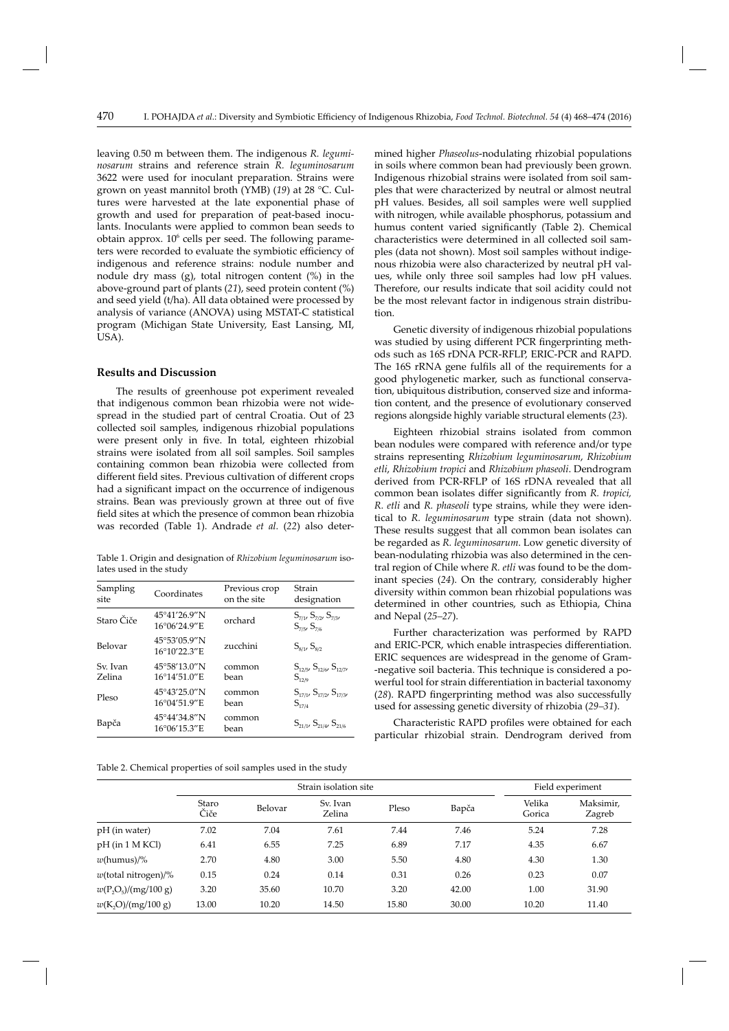leaving 0.50 m between them. The indigenous *R. leguminosarum* strains and reference strain *R. leguminosarum*  3622 were used for inoculant preparation. Strains were grown on yeast mannitol broth (YMB) (*19*) at 28 °C. Cultures were harvested at the late exponential phase of growth and used for preparation of peat-based inoculants. Inoculants were applied to common bean seeds to obtain approx.  $10<sup>6</sup>$  cells per seed. The following parameters were recorded to evaluate the symbiotic efficiency of indigenous and reference strains: nodule number and nodule dry mass (g), total nitrogen content (%) in the above-ground part of plants (*21*), seed protein content (%) and seed yield (t/ha). All data obtained were processed by analysis of variance (ANOVA) using MSTAT-C statistical program (Michigan State University, East Lansing, MI, USA).

## **Results and Discussion**

The results of greenhouse pot experiment revealed that indigenous common bean rhizobia were not widespread in the studied part of central Croatia. Out of 23 collected soil samples, indigenous rhizobial populations were present only in five. In total, eighteen rhizobial strains were isolated from all soil samples. Soil samples containing common bean rhizobia were collected from different field sites. Previous cultivation of different crops had a significant impact on the occurrence of indigenous strains. Bean was previously grown at three out of five field sites at which the presence of common bean rhizobia was recorded (Table 1). Andrade *et al.* (*22*) also deter-

Table 1. Origin and designation of *Rhizobium leguminosarum* isolates used in the study

| Sampling<br>site   | Coordinates                  | Previous crop<br>on the site | Strain<br>designation                                        |
|--------------------|------------------------------|------------------------------|--------------------------------------------------------------|
| Staro Čiče         | 45°41'26.9"N<br>16°06'24.9"E | orchard                      | $S_{7/1}$ , $S_{7/2}$ , $S_{7/3}$ ,<br>$S_{7/5}$ , $S_{7/6}$ |
| Belovar            | 45°53'05.9"N<br>16°10'22.3"E | zucchini                     | $S_{8/1}$ , $S_{8/2}$                                        |
| Sv. Ivan<br>Zelina | 45°58′13.0″N<br>16°14'51.0"E | common<br>bean               | $S_{12/5}$ , $S_{12/6}$ , $S_{12/7}$<br>$S_{12/9}$           |
| Pleso              | 45°43'25.0"N<br>16°04'51.9"E | common<br>bean               | $S_{17/1}, S_{17/2}, S_{17/3}$<br>$S_{17/4}$                 |
| Bapča              | 45°44'34.8"N<br>16°06'15.3"E | common<br>bean               | $S_{21/17}$ , $S_{21/47}$ , $S_{21/6}$                       |

Table 2. Chemical properties of soil samples used in the study

mined higher *Phaseolus*-nodulating rhizobial populations in soils where common bean had previously been grown. Indigenous rhizobial strains were isolated from soil samples that were characterized by neutral or almost neutral pH values. Besides, all soil samples were well supplied with nitrogen, while available phosphorus, potassium and humus content varied significantly (Table 2). Chemical characteristics were determined in all collected soil samples (data not shown). Most soil samples without indigenous rhizobia were also characterized by neutral pH values, while only three soil samples had low pH values. Therefore, our results indicate that soil acidity could not be the most relevant factor in indigenous strain distribution.

Genetic diversity of indigenous rhizobial populations was studied by using different PCR fingerprinting methods such as 16S rDNA PCR-RFLP, ERIC-PCR and RAPD. The 16S rRNA gene fulfils all of the requirements for a good phylogenetic marker, such as functional conservation, ubiquitous distribution, conserved size and information content, and the presence of evolutionary conserved regions alongside highly variable structural elements (*23*).

Eighteen rhizobial strains isolated from common bean nodules were compared with reference and/or type strains representing *Rhizobium leguminosarum*, *Rhizobium etli*, *Rhizobium tropici* and *Rhizobium phaseoli*. Dendrogram derived from PCR-RFLP of 16S rDNA revealed that all common bean isolates differ significantly from *R. tropici*, *R. etli* and *R. phaseoli* type strains, while they were identical to *R. leguminosarum* type strain (data not shown). These results suggest that all common bean isolates can be regarded as *R. leguminosarum*. Low genetic diversity of bean-nodulating rhizobia was also determined in the central region of Chile where *R. etli* was found to be the dominant species (*24*). On the contrary, considerably higher diversity within common bean rhizobial populations was determined in other countries, such as Ethiopia, China and Nepal (*25–27*).

Further characterization was performed by RAPD and ERIC-PCR, which enable intraspecies differentiation. ERIC sequences are widespread in the genome of Gram- -negative soil bacteria. This technique is considered a powerful tool for strain differentiation in bacterial taxonomy (28). RAPD fingerprinting method was also successfully used for assessing genetic diversity of rhizobia (*29–31*).

Characteristic RAPD profiles were obtained for each particular rhizobial strain. Dendrogram derived from

|                        | Strain isolation site |         |                    |       |       | Field experiment |                     |  |
|------------------------|-----------------------|---------|--------------------|-------|-------|------------------|---------------------|--|
|                        | Staro<br>Čiče         | Belovar | Sv. Ivan<br>Zelina | Pleso | Bapča | Velika<br>Gorica | Maksimir,<br>Zagreb |  |
| pH (in water)          | 7.02                  | 7.04    | 7.61               | 7.44  | 7.46  | 5.24             | 7.28                |  |
| pH (in 1 M KCl)        | 6.41                  | 6.55    | 7.25               | 6.89  | 7.17  | 4.35             | 6.67                |  |
| w(humus)/%             | 2.70                  | 4.80    | 3.00               | 5.50  | 4.80  | 4.30             | 1.30                |  |
| $w$ (total nitrogen)/% | 0.15                  | 0.24    | 0.14               | 0.31  | 0.26  | 0.23             | 0.07                |  |
| $w(P_2O_5)/(mg/100 g)$ | 3.20                  | 35.60   | 10.70              | 3.20  | 42.00 | 1.00             | 31.90               |  |
| w(K, O)/(mg/100 g)     | 13.00                 | 10.20   | 14.50              | 15.80 | 30.00 | 10.20            | 11.40               |  |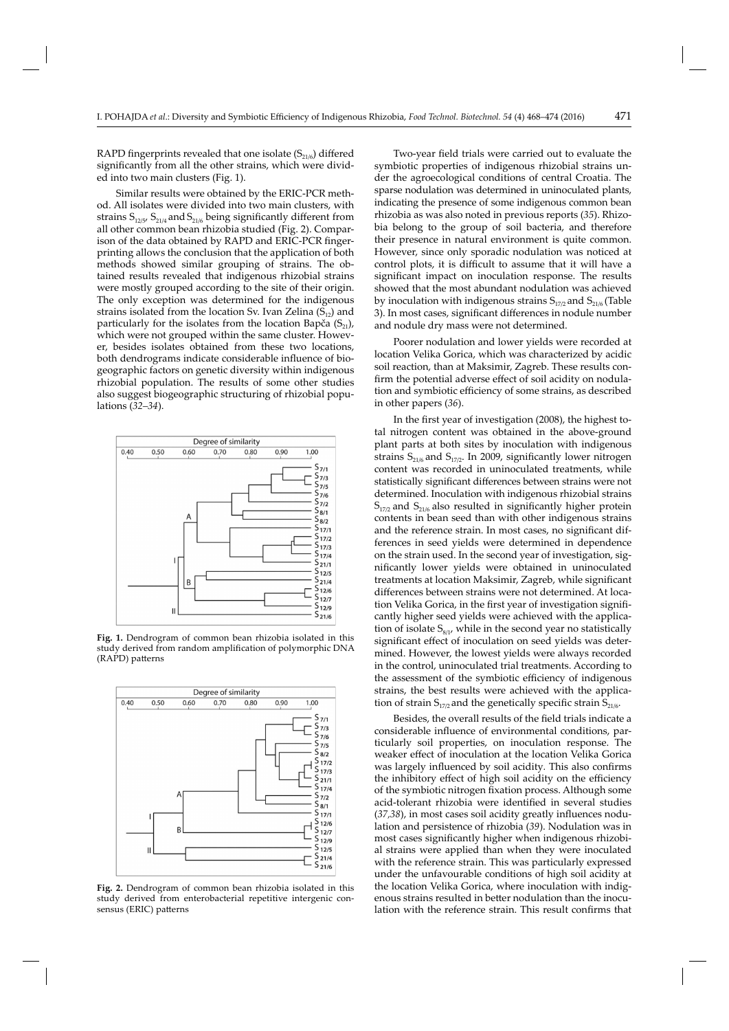RAPD fingerprints revealed that one isolate  $(S<sub>21/6</sub>)$  differed significantly from all the other strains, which were divided into two main clusters (Fig. 1).

Similar results were obtained by the ERIC-PCR method. All isolates were divided into two main clusters, with strains  $S_{12/5}$ ,  $S_{21/4}$  and  $S_{21/6}$  being significantly different from all other common bean rhizobia studied (Fig. 2). Comparison of the data obtained by RAPD and ERIC-PCR fingerprinting allows the conclusion that the application of both methods showed similar grouping of strains. The obtained results revealed that indigenous rhizobial strains were mostly grouped according to the site of their origin. The only exception was determined for the indigenous strains isolated from the location Sv. Ivan Zelina  $(S_{12})$  and particularly for the isolates from the location Bapča  $(S_{21})$ , which were not grouped within the same cluster. However, besides isolates obtained from these two locations, both dendrograms indicate considerable influence of biogeographic factors on genetic diversity within indigenous rhizobial population. The results of some other studies also suggest biogeographic structuring of rhizobial populations (*32–34*).



**Fig. 1.** Dendrogram of common bean rhizobia isolated in this study derived from random amplification of polymorphic DNA (RAPD) patterns



**Fig. 2.** Dendrogram of common bean rhizobia isolated in this study derived from enterobacterial repetitive intergenic consensus (ERIC) patterns

Two-year field trials were carried out to evaluate the symbiotic properties of indigenous rhizobial strains under the agroecological conditions of central Croatia. The sparse nodulation was determined in uninoculated plants, indicating the presence of some indigenous common bean rhizobia as was also noted in previous reports (*35*). Rhizobia belong to the group of soil bacteria, and therefore their presence in natural environment is quite common. However, since only sporadic nodulation was noticed at control plots, it is difficult to assume that it will have a significant impact on inoculation response. The results showed that the most abundant nodulation was achieved by inoculation with indigenous strains  $S_{17/2}$  and  $S_{21/6}$  (Table 3). In most cases, significant differences in nodule number and nodule dry mass were not determined.

Poorer nodulation and lower yields were recorded at location Velika Gorica, which was characterized by acidic soil reaction, than at Maksimir, Zagreb. These results confirm the potential adverse effect of soil acidity on nodulation and symbiotic efficiency of some strains, as described in other papers (*36*).

In the first year of investigation (2008), the highest total nitrogen content was obtained in the above-ground plant parts at both sites by inoculation with indigenous strains  $S_{21/6}$  and  $S_{17/2}$ . In 2009, significantly lower nitrogen content was recorded in uninoculated treatments, while statistically significant differences between strains were not determined. Inoculation with indigenous rhizobial strains  $S<sub>17/2</sub>$  and  $S<sub>21/6</sub>$  also resulted in significantly higher protein contents in bean seed than with other indigenous strains and the reference strain. In most cases, no significant differences in seed yields were determined in dependence on the strain used. In the second year of investigation, signifi cantly lower yields were obtained in uninoculated treatments at location Maksimir, Zagreb, while significant differences between strains were not determined. At location Velika Gorica, in the first year of investigation significantly higher seed yields were achieved with the application of isolate  $S_{8/1}$ , while in the second year no statistically significant effect of inoculation on seed yields was determined. However, the lowest yields were always recorded in the control, uninoculated trial treatments. According to the assessment of the symbiotic efficiency of indigenous strains, the best results were achieved with the application of strain  $S_{17/2}$  and the genetically specific strain  $S_{21/6}$ .

Besides, the overall results of the field trials indicate a considerable influence of environmental conditions, particularly soil properties, on inoculation response. The weaker effect of inoculation at the location Velika Gorica was largely influenced by soil acidity. This also confirms the inhibitory effect of high soil acidity on the efficiency of the symbiotic nitrogen fixation process. Although some acid-tolerant rhizobia were identified in several studies (37,38), in most cases soil acidity greatly influences nodulation and persistence of rhizobia (*39*). Nodulation was in most cases significantly higher when indigenous rhizobial strains were applied than when they were inoculated with the reference strain. This was particularly expressed under the unfavourable conditions of high soil acidity at the location Velika Gorica, where inoculation with indigenous strains resulted in better nodulation than the inoculation with the reference strain. This result confirms that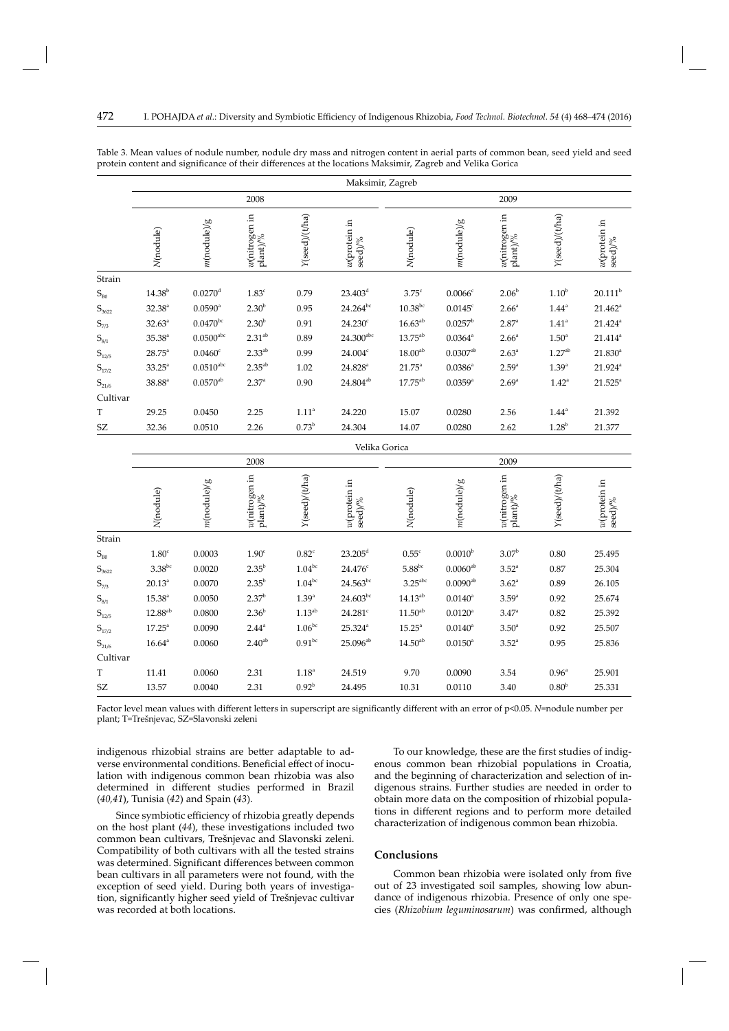|                     | Maksimir, Zagreb  |                         |                                                        |                   |                            |                       |                       |                                                                                                             |                     |                            |
|---------------------|-------------------|-------------------------|--------------------------------------------------------|-------------------|----------------------------|-----------------------|-----------------------|-------------------------------------------------------------------------------------------------------------|---------------------|----------------------------|
|                     | 2008              |                         |                                                        |                   | 2009                       |                       |                       |                                                                                                             |                     |                            |
|                     | N(nodule)         | $m$ (nodule)/g          | $w(\text{nitrogen in} \text{plant})\text{\textdegree}$ | Y(seed)/(t/ha)    | $w$ (protein in<br>seed)/% | N(nodule)             | $m$ (nodule)/g        | $\begin{array}{l} w(\hbox{nitrogen in} \\ \hbox{plant})\text{\textendash}^{\prime\prime\prime} \end{array}$ | Y(seed)/(t/ha)      | $w$ (protein in<br>seed)/% |
| Strain              |                   |                         |                                                        |                   |                            |                       |                       |                                                                                                             |                     |                            |
| $S_{\rm B0}$        | $14.38^{b}$       | $0.0270$ <sup>d</sup>   | $1.83^c$                                               | 0.79              | $23.403^d$                 | $3.75^{\circ}$        | $0.0066^{\circ}$      | $2.06^{b}$                                                                                                  | 1.10 <sup>b</sup>   | $20.111^{b}$               |
| $S_{3622}$          | $32.38^{a}$       | $0.0590$ <sup>a</sup>   | $2.30^{b}$                                             | 0.95              | $24.264^{bc}$              | $10.38^{bc}$          | $0.0145^{\circ}$      | 2.66 <sup>a</sup>                                                                                           | $1.44$ <sup>a</sup> | $21.462^a$                 |
| $S_{7/3}$           | $32.63^a$         | $0.0470^{bc}$           | 2.30 <sup>b</sup>                                      | 0.91              | $24.230^{\circ}$           | $16.63^{ab}$          | $0.0257^{\rm b}$      | $2.87^{\circ}$                                                                                              | $1.41$ <sup>a</sup> | $21.424^{\circ}$           |
| $S_{8/1}$           | $35.38^{a}$       | $0.0500^{\mathrm{abc}}$ | $2.31^{ab}$                                            | 0.89              | $24.300^{abc}$             | $13.75^{ab}$          | $0.0364^{\circ}$      | 2.66 <sup>a</sup>                                                                                           | 1.50 <sup>a</sup>   | $21.414^a$                 |
| $S_{12/5}$          | $28.75^{\circ}$   | $0.0460^{\circ}$        | $2.33^{ab}$                                            | 0.99              | 24.004c                    | 18.00 <sup>ab</sup>   | $0.0307^{ab}$         | 2.63 <sup>a</sup>                                                                                           | 1.27 <sup>ab</sup>  | $21.830^{a}$               |
| $S_{17/2}$          | $33.25^{\circ}$   | $0.0510^{\rm abc}$      | $2.35^{ab}$                                            | 1.02              | $24.828^{a}$               | $21.75^{\circ}$       | $0.0386^a$            | $2.59^{a}$                                                                                                  | $1.39^{a}$          | $21.924$ <sup>a</sup>      |
| $S_{21/6}$          | $38.88^{\circ}$   | $0.0570^{ab}$           | 2.37 <sup>a</sup>                                      | 0.90              | $24.804^{ab}$              | $17.75^{ab}$          | $0.0359$ <sup>a</sup> | 2.69 <sup>a</sup>                                                                                           | $1.42^{\circ}$      | $21.525^a$                 |
| Cultivar            |                   |                         |                                                        |                   |                            |                       |                       |                                                                                                             |                     |                            |
| T                   | 29.25             | 0.0450                  | 2.25                                                   | 1.11 <sup>a</sup> | 24.220                     | 15.07                 | 0.0280                | 2.56                                                                                                        | $1.44^{\circ}$      | 21.392                     |
| SZ                  | 32.36             | 0.0510                  | 2.26                                                   | $0.73^{\rm b}$    | 24.304                     | 14.07                 | 0.0280                | 2.62                                                                                                        | $1.28^{b}$          | 21.377                     |
|                     |                   |                         |                                                        |                   | Velika Gorica              |                       |                       |                                                                                                             |                     |                            |
|                     | 2008              |                         |                                                        |                   | 2009                       |                       |                       |                                                                                                             |                     |                            |
|                     | N(nodule)         | $m$ (nodule)/g          | $\vert$ w(nitrogen in $\vert$ plant)/%                 | Y(seed)/(t/ha)    | $w$ (protein in<br>seed)/% | N(nodule)             | $m$ (nodule)/g        | $\frac{w(\text{nitrogen in})}{\text{plant})\%}$                                                             | Y(seed)/(t/ha)      | $w$ (protein in<br>seed)/% |
| Strain              |                   |                         |                                                        |                   |                            |                       |                       |                                                                                                             |                     |                            |
| $S_{\rm B0}$        | 1.80 <sup>c</sup> | 0.0003                  | 1.90 <sup>c</sup>                                      | $0.82^{\circ}$    | $23.205^{\rm d}$           | $0.55^{\circ}$        | $0.0010^{b}$          | $3.07^{\rm b}$                                                                                              | 0.80                | 25.495                     |
| $\mathbb{S}_{3622}$ | $3.38^{bc}$       | 0.0020                  | $2.35^{b}$                                             | $1.04^{bc}$       | $24.476^c$                 | $5.88^{bc}$           | $0.0060^{ab}$         | $3.52^{a}$                                                                                                  | 0.87                | 25.304                     |
| $S_{7/3}$           | $20.13^{a}$       | 0.0070                  | $2.35^b$                                               | $1.04^{bc}$       | $24.563^{bc}$              | $3.25$ <sup>abc</sup> | $0.0090^{ab}$         | $3.62^{\circ}$                                                                                              | 0.89                | 26.105                     |
| $\mathrm{S}_{8/1}$  | $15.38^{a}$       | 0.0050                  | $2.37^{b}$                                             | 1.39 <sup>a</sup> | $24.603^{bc}$              | $14.13^{ab}$          | $0.0140^{\circ}$      | $3.59^{a}$                                                                                                  | 0.92                | 25.674                     |
| $S_{12/5}$          | $12.88^{ab}$      | 0.0800                  | 2.36 <sup>b</sup>                                      | $1.13^{ab}$       | $24.281$ <sup>c</sup>      | $11.50^{ab}$          | $0.0120$ <sup>a</sup> | $3.47^{\circ}$                                                                                              | 0.82                | 25.392                     |
| $\mathbb{S}_{17/2}$ | $17.25^{\circ}$   | 0.0090                  | $2.44^{a}$                                             | $1.06^{bc}$       | $25.324^{a}$               | $15.25^{\circ}$       | $0.0140^a$            | 3.50 <sup>a</sup>                                                                                           | 0.92                | 25.507                     |
| $\mathbb{S}_{21/6}$ | $16.64^{\circ}$   | 0.0060                  | $2.40^{ab}$                                            | $0.91^{bc}$       | $25.096^{ab}$              | $14.50^{ab}$          | $0.0150^{\circ}$      | $3.52^{a}$                                                                                                  | 0.95                | 25.836                     |
| Cultivar            |                   |                         |                                                        |                   |                            |                       |                       |                                                                                                             |                     |                            |
| T                   | 11.41             | 0.0060                  | 2.31                                                   | $1.18^{a}$        | 24.519                     | 9.70                  | 0.0090                | 3.54                                                                                                        | 0.96 <sup>a</sup>   | 25.901                     |
| SZ                  | 13.57             | 0.0040                  | 2.31                                                   | $0.92^{b}$        | 24.495                     | 10.31                 | 0.0110                | 3.40                                                                                                        | 0.80 <sup>b</sup>   | 25.331                     |

Table 3. Mean values of nodule number, nodule dry mass and nitrogen content in aerial parts of common bean, seed yield and seed protein content and significance of their differences at the locations Maksimir, Zagreb and Velika Gorica

Factor level mean values with different letters in superscript are significantly different with an error of p<0.05. *N*=nodule number per plant; T=Trešnjevac, SZ=Slavonski zeleni

indigenous rhizobial strains are better adaptable to adverse environmental conditions. Beneficial effect of inoculation with indigenous common bean rhizobia was also determined in different studies performed in Brazil (*40,41*), Tunisia (*42*) and Spain (*43*).

To our knowledge, these are the first studies of indigenous common bean rhizobial populations in Croatia, and the beginning of characterization and selection of indigenous strains. Further studies are needed in order to obtain more data on the composition of rhizobial populations in different regions and to perform more detailed characterization of indigenous common bean rhizobia.

Since symbiotic efficiency of rhizobia greatly depends on the host plant (*44*), these investigations included two common bean cultivars, Trešnjevac and Slavonski zeleni. Compatibility of both cultivars with all the tested strains was determined. Significant differences between common bean cultivars in all parameters were not found, with the ex ception of seed yield. During both years of investigation, significantly higher seed yield of Trešnjevac cultivar was recorded at both locations.

# **Conclusions**

Common bean rhizobia were isolated only from five out of 23 investigated soil samples, showing low abundance of indigenous rhizobia. Presence of only one species (*Rhizobium leguminosarum*) was confirmed, although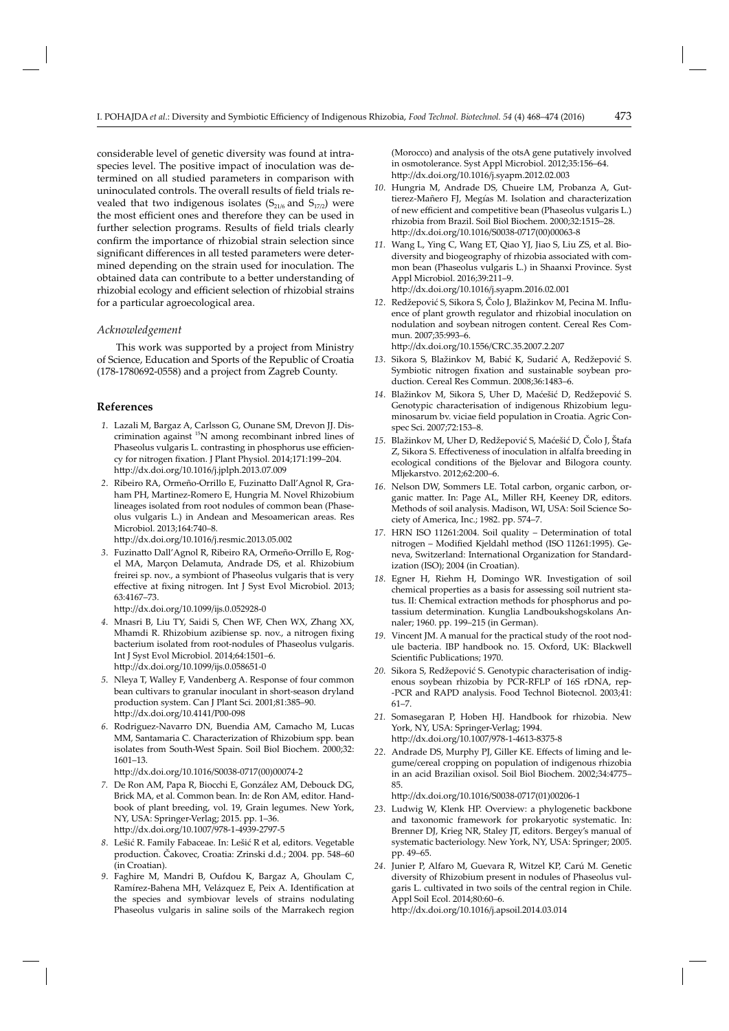considerable level of genetic diversity was found at intraspecies level. The positive impact of inoculation was determined on all studied parameters in comparison with uninoculated controls. The overall results of field trials revealed that two indigenous isolates  $(S_{21/6}$  and  $S_{17/2})$  were the most efficient ones and therefore they can be used in further selection programs. Results of field trials clearly confirm the importance of rhizobial strain selection since significant differences in all tested parameters were determined depending on the strain used for inoculation. The obtained data can contribute to a better understanding of rhizobial ecology and efficient selection of rhizobial strains for a particular agroecological area.

#### *Acknowledgement*

This work was supported by a project from Ministry of Science, Education and Sports of the Republic of Croatia (178-1780692-0558) and a project from Zagreb County.

#### **References**

- *1*. Lazali M, Bargaz A, Carlsson G, Ounane SM, Drevon JJ. Discrimination against 15N among recombinant inbred lines of Phaseolus vulgaris L. contrasting in phosphorus use efficiency for nitrogen fixation. J Plant Physiol. 2014;171:199-204. htt p://dx.doi.org/10.1016/j.jplph.2013.07.009
- 2. Ribeiro RA, Ormeño-Orrillo E, Fuzinatto Dall'Agnol R, Graham PH, Martinez-Romero E, Hungria M. Novel Rhizobium lineages isolated from root nodules of common bean (Phaseolus vulgaris L.) in Andean and Mesoamerican areas. Res Microbiol. 2013;164:740–8.

http://dx.doi.org/10.1016/j.resmic.2013.05.002

3. Fuzinatto Dall'Agnol R, Ribeiro RA, Ormeño-Orrillo E, Rogel MA, Marçon Delamuta, Andrade DS, et al. Rhizobium freirei sp. nov., a symbiont of Phaseolus vulgaris that is very effective at fixing nitrogen. Int J Syst Evol Microbiol. 2013; 63:4167–73.

http://dx.doi.org/10.1099/ijs.0.052928-0

- *4*. Mnasri B, Liu TY, Saidi S, Chen WF, Chen WX, Zhang XX, Mhamdi R. Rhizobium azibiense sp. nov., a nitrogen fixing bacterium isolated from root-nodules of Phaseolus vulgaris. Int J Syst Evol Microbiol. 2014;64:1501–6. http://dx.doi.org/10.1099/ijs.0.058651-0
- *5*. Nleya T, Walley F, Vandenberg A. Response of four common bean cultivars to granular inoculant in short-season dryland production system. Can J Plant Sci. 2001;81:385–90. http://dx.doi.org/10.4141/P00-098
- *6*. Rodriguez-Navarro DN, Buendia AM, Camacho M, Lucas MM, Santamaria C. Characterization of Rhizobium spp. bean isolates from South-West Spain. Soil Biol Biochem. 2000;32: 1601–13.

http://dx.doi.org/10.1016/S0038-0717(00)00074-2

- *7.* De Ron AM, Papa R, Biocch i E, González AM, Debouck DG, Brick MA, et al. Common bean. In: de Ron AM, editor. Handbook of plant breeding, vol. 19, Grain legumes. New York, NY, USA: Springer-Verlag; 2015. pp. 1–36. http://dx.doi.org/10.1007/978-1-4939-2797-5
- *8*. Lešić R. Family Fabaceae. In: Lešić R et al, editors. Vegetable production. Čakovec, Croatia: Zrinski d.d.; 2004. pp. 548–60 (in Croatian).
- *9*. Faghire M, Mandri B, Oufdou K, Bargaz A, Ghoulam C, Ramírez-Bahena MH, Velázquez E, Peix A. Identification at the species and symbiovar levels of strains nodulating Phaseolus vulgaris in saline soils of the Marrakech region

(Morocco) and analysis of the otsA gene putatively involved in osmotolerance. Syst Appl Microbiol. 2012;35:156–64. http://dx.doi.org/10.1016/j.syapm.2012.02.003

- *10*. Hungria M, Andrade DS, Chueire LM, Probanza A, Guttierez-Mañero FJ, Megías M. Isolation and characterization of new efficient and competitive bean (Phaseolus vulgaris L.) rhizobia from Brazil. Soil Biol Biochem. 2000;32:1515–28. http://dx.doi.org/10.1016/S0038-0717(00)00063-8
- *11.* Wang L, Ying C, Wang ET, Qiao YJ, Jiao S, Liu ZS, et al. Biodiversity and biogeography of rhizobia associated with common bean (Phaseolus vulgaris L.) in Shaanxi Province. Syst Appl Microbiol. 2016;39:211–9. http://dx.doi.org/10.1016/j.syapm.2016.02.001
- 12. Redžepović S, Sikora S, Čolo J, Blažinkov M, Pecina M. Influence of plant growth regulator and rhizobial inoculation on nodulation and soybean nitrogen content. Cereal Res Commun. 2007;35:993–6. http://dx.doi.org/10.1556/CRC.35.2007.2.207
- *13*. Sikora S, Blažinkov M, Babić K, Sudarić A, Redžepović S.
- Symbiotic nitrogen fixation and sustainable soybean production. Cereal Res Commun. 2008;36:1483–6.
- *14*. Blažinkov M, Sikora S, Uher D, Maćešić D, Redžepović S. Genotypic characterisation of indigenous Rhizobium leguminosarum bv. viciae field population in Croatia. Agric Conspec Sci. 2007;72:153–8.
- *15*. Blažinkov M, Uher D, Redžepović S, Maćešić D, Čolo J, Štafa Z, Sikora S. Effectiveness of inoculation in alfalfa breeding in ecological conditions of the Bjelovar and Bilogora county. Mljekarstvo. 2012;62:200–6.
- *16*. Nelson DW, Sommers LE. Total carbon, organic carbon, organic matter. In: Page AL, Miller RH, Keeney DR, editors. Methods of soil analysis. Madison, WI, USA: Soil Science Society of America, Inc.; 1982. pp. 574–7.
- *17*. HRN ISO 11261:2004. Soil quality Determination of total nitrogen – Modified Kjeldahl method (ISO 11261:1995). Geneva, Switzerland: International Organization for Standardization (ISO); 2004 (in Croatian).
- *18*. Egner H, Riehm H, Domingo WR. Investigation of soil chemical properties as a basis for assessing soil nutrient status. II: Chemical extraction methods for phosphorus and potassium determination. Kunglia Landboukshogskolans Annaler; 1960. pp. 199–215 (in German).
- *19*. Vincent JM. A manual for the practical study of the root nodule bacteria. IBP handbook no. 15. Oxford, UK: Blackwell Scientific Publications; 1970.
- *20*.Sikora S, Redžepović S. Genotypic characterisation of indigenous soybean rhizobia by PCR-RFLP of 16S rDNA, rep- -PCR and RAPD analysis. Food Technol Biotecnol. 2003;41: 61–7.
- *21.* Somasegaran P, Hoben HJ. Handbook for rhizobia. New York, NY, USA: Springer-Verlag; 1994. http://dx.doi.org/10.1007/978-1-4613-8375-8
- *22*. Andrade DS, Murphy PJ, Giller KE. Effects of liming and legume/cereal cropping on population of indigenous rhizobia in an acid Brazilian oxisol. Soil Biol Biochem. 2002;34:4775-85.

http://dx.doi.org/10.1016/S0038-0717(01)00206-1

- *23*. Ludwig W, Klenk HP. Overview: a phylogenetic backbone and taxonomic framework for prokaryotic systematic. In: Brenner DJ, Krieg NR, Staley JT, editors. Bergey's manual of systematic bacteriology. New York, NY, USA: Springer; 2005. pp. 49–65.
- *24*. Junier P, Alfaro M, Guevara R, Witzel KP, Carú M. Genetic diversity of Rhizobium present in nodules of Phaseolus vulgaris L. cultivated in two soils of the central region in Chile. Appl Soil Ecol. 2014;80:60–6.

http://dx.doi.org/10.1016/j.apsoil.2014.03.014